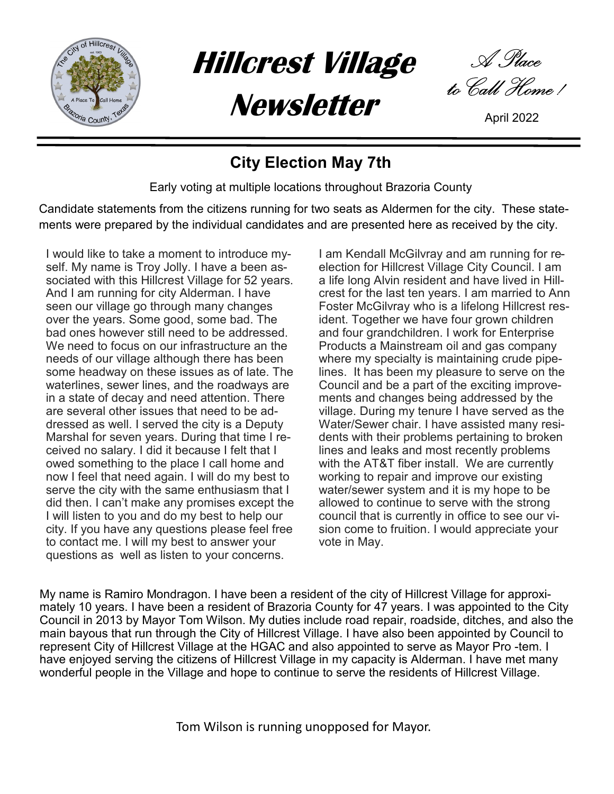

Hillcrest Village

**Newsletter** 

A Place to Call Home !

# City Election May 7th

Early voting at multiple locations throughout Brazoria County

Candidate statements from the citizens running for two seats as Aldermen for the city. These statements were prepared by the individual candidates and are presented here as received by the city.

I would like to take a moment to introduce myself. My name is Troy Jolly. I have a been associated with this Hillcrest Village for 52 years. And I am running for city Alderman. I have seen our village go through many changes over the years. Some good, some bad. The bad ones however still need to be addressed. We need to focus on our infrastructure an the needs of our village although there has been some headway on these issues as of late. The waterlines, sewer lines, and the roadways are in a state of decay and need attention. There are several other issues that need to be addressed as well. I served the city is a Deputy Marshal for seven years. During that time I received no salary. I did it because I felt that I owed something to the place I call home and now I feel that need again. I will do my best to serve the city with the same enthusiasm that I did then. I can't make any promises except the I will listen to you and do my best to help our city. If you have any questions please feel free to contact me. I will my best to answer your questions as well as listen to your concerns.

I am Kendall McGilvray and am running for reelection for Hillcrest Village City Council. I am a life long Alvin resident and have lived in Hillcrest for the last ten years. I am married to Ann Foster McGilvray who is a lifelong Hillcrest resident. Together we have four grown children and four grandchildren. I work for Enterprise Products a Mainstream oil and gas company where my specialty is maintaining crude pipelines. It has been my pleasure to serve on the Council and be a part of the exciting improvements and changes being addressed by the village. During my tenure I have served as the Water/Sewer chair. I have assisted many residents with their problems pertaining to broken lines and leaks and most recently problems with the AT&T fiber install. We are currently working to repair and improve our existing water/sewer system and it is my hope to be allowed to continue to serve with the strong council that is currently in office to see our vision come to fruition. I would appreciate your vote in May.

My name is Ramiro Mondragon. I have been a resident of the city of Hillcrest Village for approximately 10 years. I have been a resident of Brazoria County for 47 years. I was appointed to the City Council in 2013 by Mayor Tom Wilson. My duties include road repair, roadside, ditches, and also the main bayous that run through the City of Hillcrest Village. I have also been appointed by Council to represent City of Hillcrest Village at the HGAC and also appointed to serve as Mayor Pro -tem. I have enjoyed serving the citizens of Hillcrest Village in my capacity is Alderman. I have met many wonderful people in the Village and hope to continue to serve the residents of Hillcrest Village.

Tom Wilson is running unopposed for Mayor.